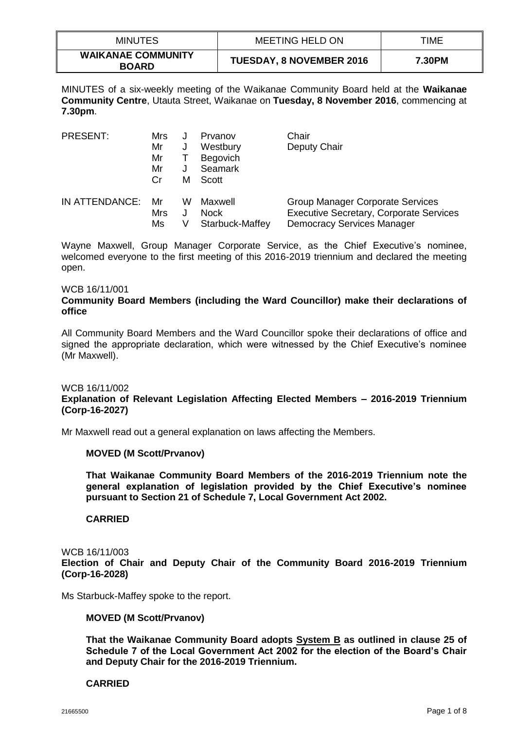| <b>MINUTES</b>                            | <b>MEETING HELD ON</b>          | TIME   |
|-------------------------------------------|---------------------------------|--------|
| <b>WAIKANAE COMMUNITY</b><br><b>BOARD</b> | <b>TUESDAY, 8 NOVEMBER 2016</b> | 7.30PM |

MINUTES of a six-weekly meeting of the Waikanae Community Board held at the **Waikanae Community Centre**, Utauta Street, Waikanae on **Tuesday, 8 November 2016**, commencing at **7.30pm**.

| <b>PRESENT:</b> | Mrs |   | Prvanov         | Chair                                          |
|-----------------|-----|---|-----------------|------------------------------------------------|
|                 | Mr  | J | Westbury        | Deputy Chair                                   |
|                 | Mr  |   | <b>Begovich</b> |                                                |
|                 | Mr  | J | Seamark         |                                                |
|                 | Cr  | м | Scott           |                                                |
| IN ATTENDANCE:  | Mr  | w | Maxwell         | <b>Group Manager Corporate Services</b>        |
|                 | Mrs |   | <b>Nock</b>     | <b>Executive Secretary, Corporate Services</b> |
|                 | Ms  |   | Starbuck-Maffey | <b>Democracy Services Manager</b>              |

Wayne Maxwell, Group Manager Corporate Service, as the Chief Executive's nominee, welcomed everyone to the first meeting of this 2016-2019 triennium and declared the meeting open.

#### WCB 16/11/001

## **Community Board Members (including the Ward Councillor) make their declarations of office**

All Community Board Members and the Ward Councillor spoke their declarations of office and signed the appropriate declaration, which were witnessed by the Chief Executive's nominee (Mr Maxwell).

#### WCB 16/11/002

# **Explanation of Relevant Legislation Affecting Elected Members – 2016-2019 Triennium (Corp-16-2027)**

Mr Maxwell read out a general explanation on laws affecting the Members.

## **MOVED (M Scott/Prvanov)**

**That Waikanae Community Board Members of the 2016-2019 Triennium note the general explanation of legislation provided by the Chief Executive's nominee pursuant to Section 21 of Schedule 7, Local Government Act 2002.**

## **CARRIED**

#### WCB 16/11/003 **Election of Chair and Deputy Chair of the Community Board 2016-2019 Triennium (Corp-16-2028)**

Ms Starbuck-Maffey spoke to the report.

## **MOVED (M Scott/Prvanov)**

**That the Waikanae Community Board adopts System B as outlined in clause 25 of Schedule 7 of the Local Government Act 2002 for the election of the Board's Chair and Deputy Chair for the 2016-2019 Triennium.**

## **CARRIED**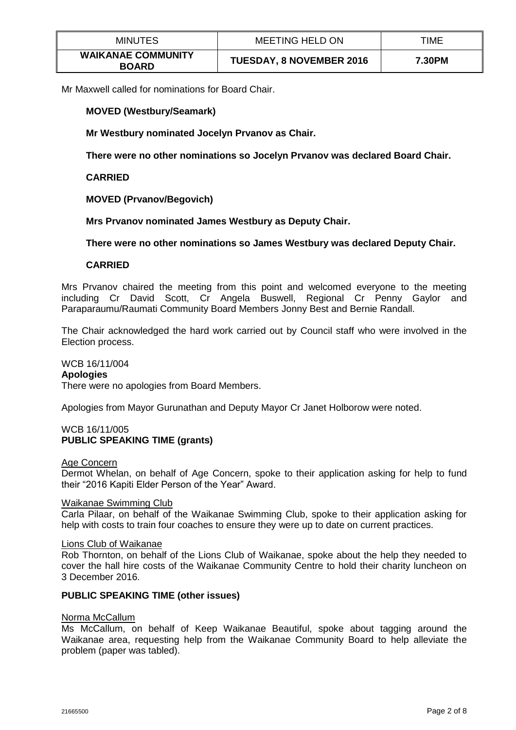| <b>MINUTES</b>                            | <b>MEETING HELD ON</b>          | TIME   |
|-------------------------------------------|---------------------------------|--------|
| <b>WAIKANAE COMMUNITY</b><br><b>BOARD</b> | <b>TUESDAY, 8 NOVEMBER 2016</b> | 7.30PM |

Mr Maxwell called for nominations for Board Chair.

## **MOVED (Westbury/Seamark)**

**Mr Westbury nominated Jocelyn Prvanov as Chair.**

**There were no other nominations so Jocelyn Prvanov was declared Board Chair.** 

**CARRIED**

**MOVED (Prvanov/Begovich)**

**Mrs Prvanov nominated James Westbury as Deputy Chair.**

**There were no other nominations so James Westbury was declared Deputy Chair.**

## **CARRIED**

Mrs Prvanov chaired the meeting from this point and welcomed everyone to the meeting including Cr David Scott, Cr Angela Buswell, Regional Cr Penny Gaylor and Paraparaumu/Raumati Community Board Members Jonny Best and Bernie Randall.

The Chair acknowledged the hard work carried out by Council staff who were involved in the Election process.

WCB 16/11/004 **Apologies** There were no apologies from Board Members.

Apologies from Mayor Gurunathan and Deputy Mayor Cr Janet Holborow were noted.

## WCB 16/11/005 **PUBLIC SPEAKING TIME (grants)**

#### Age Concern

Dermot Whelan, on behalf of Age Concern, spoke to their application asking for help to fund their "2016 Kapiti Elder Person of the Year" Award.

## Waikanae Swimming Club

Carla Pilaar, on behalf of the Waikanae Swimming Club, spoke to their application asking for help with costs to train four coaches to ensure they were up to date on current practices.

#### Lions Club of Waikanae

Rob Thornton, on behalf of the Lions Club of Waikanae, spoke about the help they needed to cover the hall hire costs of the Waikanae Community Centre to hold their charity luncheon on 3 December 2016.

## **PUBLIC SPEAKING TIME (other issues)**

## Norma McCallum

Ms McCallum, on behalf of Keep Waikanae Beautiful, spoke about tagging around the Waikanae area, requesting help from the Waikanae Community Board to help alleviate the problem (paper was tabled).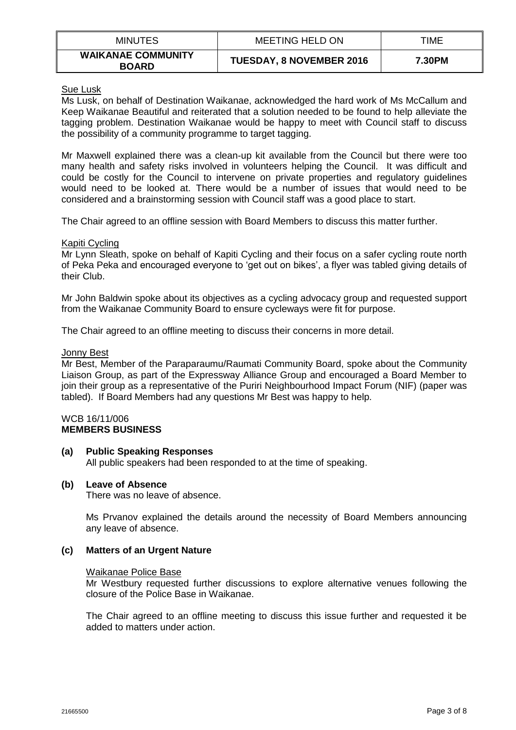| <b>MINUTES</b>                            | <b>MEETING HELD ON</b>          | TIME   |
|-------------------------------------------|---------------------------------|--------|
| <b>WAIKANAE COMMUNITY</b><br><b>BOARD</b> | <b>TUESDAY, 8 NOVEMBER 2016</b> | 7.30PM |

Sue Lusk

Ms Lusk, on behalf of Destination Waikanae, acknowledged the hard work of Ms McCallum and Keep Waikanae Beautiful and reiterated that a solution needed to be found to help alleviate the tagging problem. Destination Waikanae would be happy to meet with Council staff to discuss the possibility of a community programme to target tagging.

Mr Maxwell explained there was a clean-up kit available from the Council but there were too many health and safety risks involved in volunteers helping the Council. It was difficult and could be costly for the Council to intervene on private properties and regulatory guidelines would need to be looked at. There would be a number of issues that would need to be considered and a brainstorming session with Council staff was a good place to start.

The Chair agreed to an offline session with Board Members to discuss this matter further.

## Kapiti Cycling

Mr Lynn Sleath, spoke on behalf of Kapiti Cycling and their focus on a safer cycling route north of Peka Peka and encouraged everyone to 'get out on bikes', a flyer was tabled giving details of their Club.

Mr John Baldwin spoke about its objectives as a cycling advocacy group and requested support from the Waikanae Community Board to ensure cycleways were fit for purpose.

The Chair agreed to an offline meeting to discuss their concerns in more detail.

## Jonny Best

Mr Best, Member of the Paraparaumu/Raumati Community Board, spoke about the Community Liaison Group, as part of the Expressway Alliance Group and encouraged a Board Member to join their group as a representative of the Puriri Neighbourhood Impact Forum (NIF) (paper was tabled). If Board Members had any questions Mr Best was happy to help.

#### WCB 16/11/006 **MEMBERS BUSINESS**

# **(a) Public Speaking Responses**

All public speakers had been responded to at the time of speaking.

## **(b) Leave of Absence**

There was no leave of absence.

Ms Prvanov explained the details around the necessity of Board Members announcing any leave of absence.

## **(c) Matters of an Urgent Nature**

#### Waikanae Police Base

Mr Westbury requested further discussions to explore alternative venues following the closure of the Police Base in Waikanae.

The Chair agreed to an offline meeting to discuss this issue further and requested it be added to matters under action.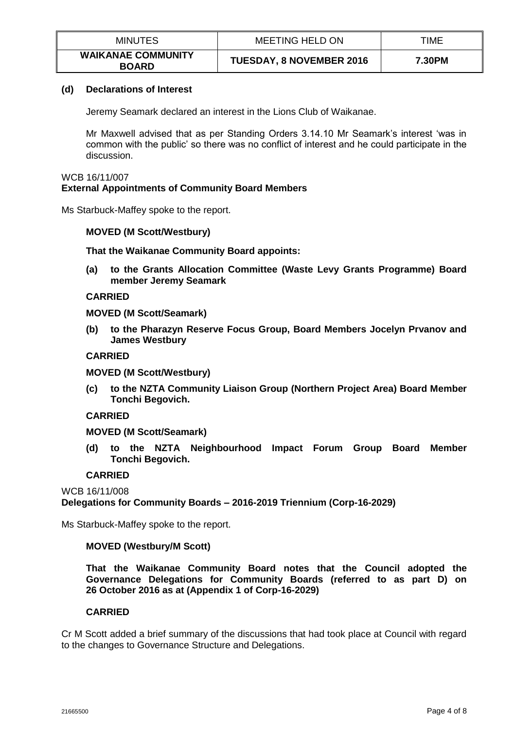| <b>MINUTES</b>                            | MEETING HELD ON                 | TIME   |
|-------------------------------------------|---------------------------------|--------|
| <b>WAIKANAE COMMUNITY</b><br><b>BOARD</b> | <b>TUESDAY, 8 NOVEMBER 2016</b> | 7.30PM |

## **(d) Declarations of Interest**

Jeremy Seamark declared an interest in the Lions Club of Waikanae.

Mr Maxwell advised that as per Standing Orders 3.14.10 Mr Seamark's interest 'was in common with the public' so there was no conflict of interest and he could participate in the discussion.

#### WCB 16/11/007 **External Appointments of Community Board Members**

Ms Starbuck-Maffey spoke to the report.

## **MOVED (M Scott/Westbury)**

**That the Waikanae Community Board appoints:**

**(a) to the Grants Allocation Committee (Waste Levy Grants Programme) Board member Jeremy Seamark**

## **CARRIED**

**MOVED (M Scott/Seamark)**

**(b) to the Pharazyn Reserve Focus Group, Board Members Jocelyn Prvanov and James Westbury**

## **CARRIED**

**MOVED (M Scott/Westbury)**

**(c) to the NZTA Community Liaison Group (Northern Project Area) Board Member Tonchi Begovich.**

# **CARRIED**

**MOVED (M Scott/Seamark)**

**(d) to the NZTA Neighbourhood Impact Forum Group Board Member Tonchi Begovich.**

# **CARRIED**

WCB 16/11/008

**Delegations for Community Boards – 2016-2019 Triennium (Corp-16-2029)**

Ms Starbuck-Maffey spoke to the report.

## **MOVED (Westbury/M Scott)**

**That the Waikanae Community Board notes that the Council adopted the Governance Delegations for Community Boards (referred to as part D) on 26 October 2016 as at (Appendix 1 of Corp-16-2029)**

# **CARRIED**

Cr M Scott added a brief summary of the discussions that had took place at Council with regard to the changes to Governance Structure and Delegations.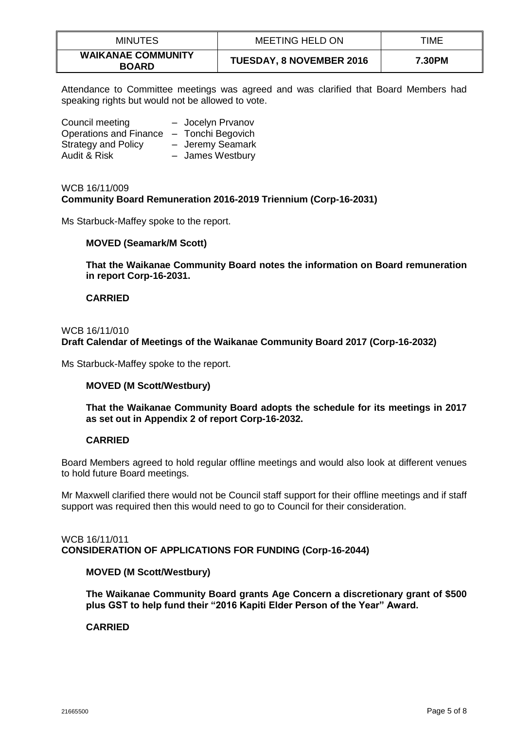| <b>MINUTES</b>                            | <b>MEETING HELD ON</b>          | TIME   |
|-------------------------------------------|---------------------------------|--------|
| <b>WAIKANAE COMMUNITY</b><br><b>BOARD</b> | <b>TUESDAY, 8 NOVEMBER 2016</b> | 7.30PM |

Attendance to Committee meetings was agreed and was clarified that Board Members had speaking rights but would not be allowed to vote.

| Council meeting               | - Jocelyn Prvanov |
|-------------------------------|-------------------|
| <b>Operations and Finance</b> | - Tonchi Begovich |
| <b>Strategy and Policy</b>    | - Jeremy Seamark  |
| Audit & Risk                  | - James Westbury  |

## WCB 16/11/009 **Community Board Remuneration 2016-2019 Triennium (Corp-16-2031)**

Ms Starbuck-Maffey spoke to the report.

## **MOVED (Seamark/M Scott)**

**That the Waikanae Community Board notes the information on Board remuneration in report Corp-16-2031.**

## **CARRIED**

#### WCB 16/11/010

**Draft Calendar of Meetings of the Waikanae Community Board 2017 (Corp-16-2032)**

Ms Starbuck-Maffey spoke to the report.

## **MOVED (M Scott/Westbury)**

**That the Waikanae Community Board adopts the schedule for its meetings in 2017 as set out in Appendix 2 of report Corp-16-2032.**

## **CARRIED**

Board Members agreed to hold regular offline meetings and would also look at different venues to hold future Board meetings.

Mr Maxwell clarified there would not be Council staff support for their offline meetings and if staff support was required then this would need to go to Council for their consideration.

## WCB 16/11/011 **CONSIDERATION OF APPLICATIONS FOR FUNDING (Corp-16-2044)**

## **MOVED (M Scott/Westbury)**

**The Waikanae Community Board grants Age Concern a discretionary grant of \$500 plus GST to help fund their "2016 Kapiti Elder Person of the Year" Award.**

## **CARRIED**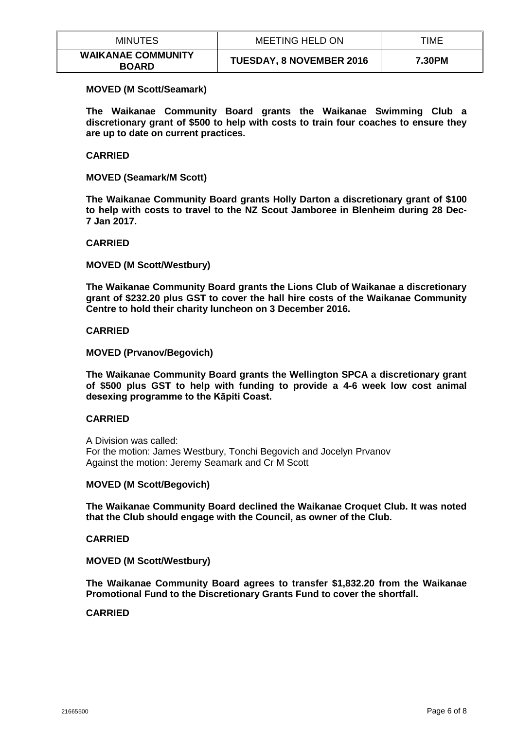| <b>MINUTES</b>                            | MEETING HELD ON                 | TIME   |
|-------------------------------------------|---------------------------------|--------|
| <b>WAIKANAE COMMUNITY</b><br><b>BOARD</b> | <b>TUESDAY, 8 NOVEMBER 2016</b> | 7.30PM |

#### **MOVED (M Scott/Seamark)**

**The Waikanae Community Board grants the Waikanae Swimming Club a discretionary grant of \$500 to help with costs to train four coaches to ensure they are up to date on current practices.**

#### **CARRIED**

**MOVED (Seamark/M Scott)**

**The Waikanae Community Board grants Holly Darton a discretionary grant of \$100 to help with costs to travel to the NZ Scout Jamboree in Blenheim during 28 Dec-7 Jan 2017.**

#### **CARRIED**

#### **MOVED (M Scott/Westbury)**

**The Waikanae Community Board grants the Lions Club of Waikanae a discretionary grant of \$232.20 plus GST to cover the hall hire costs of the Waikanae Community Centre to hold their charity luncheon on 3 December 2016.**

#### **CARRIED**

## **MOVED (Prvanov/Begovich)**

**The Waikanae Community Board grants the Wellington SPCA a discretionary grant of \$500 plus GST to help with funding to provide a 4-6 week low cost animal desexing programme to the Kāpiti Coast.**

## **CARRIED**

A Division was called: For the motion: James Westbury, Tonchi Begovich and Jocelyn Prvanov Against the motion: Jeremy Seamark and Cr M Scott

#### **MOVED (M Scott/Begovich)**

**The Waikanae Community Board declined the Waikanae Croquet Club. It was noted that the Club should engage with the Council, as owner of the Club.**

#### **CARRIED**

**MOVED (M Scott/Westbury)**

**The Waikanae Community Board agrees to transfer \$1,832.20 from the Waikanae Promotional Fund to the Discretionary Grants Fund to cover the shortfall.**

#### **CARRIED**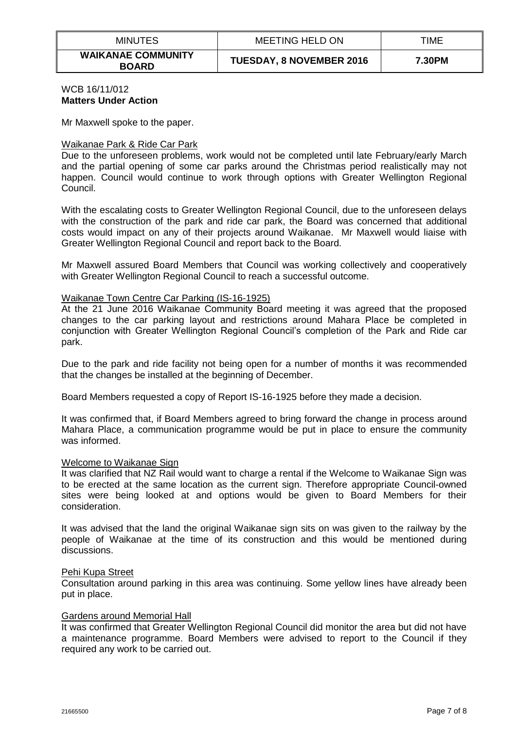| <b>MINUTES</b>                            | MEETING HELD ON                 | TIME   |
|-------------------------------------------|---------------------------------|--------|
| <b>WAIKANAE COMMUNITY</b><br><b>BOARD</b> | <b>TUESDAY, 8 NOVEMBER 2016</b> | 7.30PM |

#### WCB 16/11/012 **Matters Under Action**

Mr Maxwell spoke to the paper.

#### Waikanae Park & Ride Car Park

Due to the unforeseen problems, work would not be completed until late February/early March and the partial opening of some car parks around the Christmas period realistically may not happen. Council would continue to work through options with Greater Wellington Regional Council.

With the escalating costs to Greater Wellington Regional Council, due to the unforeseen delays with the construction of the park and ride car park, the Board was concerned that additional costs would impact on any of their projects around Waikanae. Mr Maxwell would liaise with Greater Wellington Regional Council and report back to the Board.

Mr Maxwell assured Board Members that Council was working collectively and cooperatively with Greater Wellington Regional Council to reach a successful outcome.

#### Waikanae Town Centre Car Parking (IS-16-1925)

At the 21 June 2016 Waikanae Community Board meeting it was agreed that the proposed changes to the car parking layout and restrictions around Mahara Place be completed in conjunction with Greater Wellington Regional Council's completion of the Park and Ride car park.

Due to the park and ride facility not being open for a number of months it was recommended that the changes be installed at the beginning of December.

Board Members requested a copy of Report IS-16-1925 before they made a decision.

It was confirmed that, if Board Members agreed to bring forward the change in process around Mahara Place, a communication programme would be put in place to ensure the community was informed.

#### Welcome to Waikanae Sign

It was clarified that NZ Rail would want to charge a rental if the Welcome to Waikanae Sign was to be erected at the same location as the current sign. Therefore appropriate Council-owned sites were being looked at and options would be given to Board Members for their consideration.

It was advised that the land the original Waikanae sign sits on was given to the railway by the people of Waikanae at the time of its construction and this would be mentioned during discussions.

#### Pehi Kupa Street

Consultation around parking in this area was continuing. Some yellow lines have already been put in place.

## Gardens around Memorial Hall

It was confirmed that Greater Wellington Regional Council did monitor the area but did not have a maintenance programme. Board Members were advised to report to the Council if they required any work to be carried out.